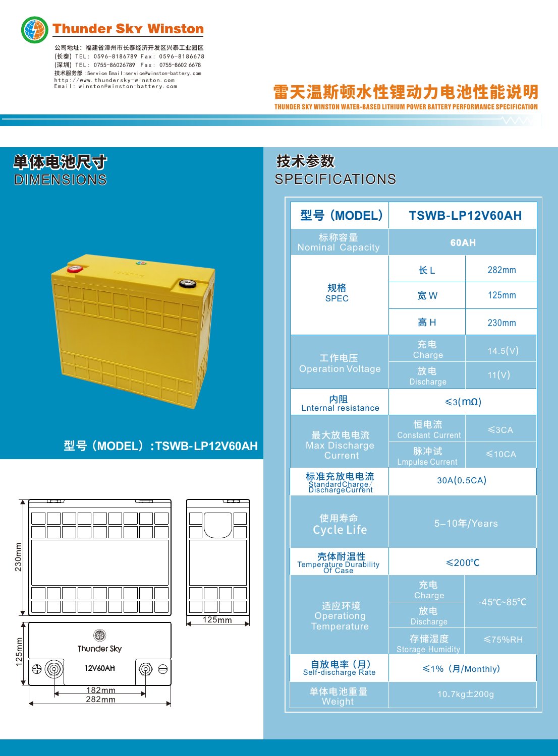

**Thunder Sky Winston** 

公司地址:福建省漳州市长泰经济开发区兴泰工业园区 (⻓泰) T E L : 0596-8186789 F a x : 059 6 - 8 18667 8 (深圳) T E L : 0755-86026789 F a x : 0755-8602 6678 技术服务部 :Service Email:service@winston-battery.com http://www.thundersky-winston.com Email: winston@winston-battery.com

## 雷天温斯顿水性锂动力电池性能说明 THUNDER SKY WINSTON WATER-BASED LITHIUM POWER BATTERY PERFORMANCE SPECIFICATION

| 单体电池尺寸<br>DIMENSIONS |                            |  |  |  |
|----------------------|----------------------------|--|--|--|
|                      |                            |  |  |  |
|                      |                            |  |  |  |
|                      |                            |  |  |  |
|                      | 型号 (MODEL) :TSWB-LP12V60AH |  |  |  |
|                      |                            |  |  |  |
| 230mm                | 125mm                      |  |  |  |

## **SPECIFICATIONS 技术参数**

| 型号 (MODEL)                                     | TSWB-LP12V60AH                         |                                 |
|------------------------------------------------|----------------------------------------|---------------------------------|
| 标称容量<br><b>Nominal Capacity</b>                | <b>60AH</b>                            |                                 |
| 规格<br><b>SPEC</b>                              | 长L                                     | 282mm                           |
|                                                | 宽W                                     | 125mm                           |
|                                                | 高H                                     | 230mm                           |
| 工作电压                                           | 充电<br>Charge                           | 14.5(V)                         |
| <b>Operation Voltage</b>                       | 放电<br><b>Discharge</b>                 | 11(V)                           |
| 内阻<br><b>Lnternal resistance</b>               | ≤3(mΩ)                                 |                                 |
| 最大放电电流                                         | 恒电流<br><b>Constant Current</b>         | $\leq$ 3CA                      |
| <b>Max Discharge</b><br>Current                | 脉冲试<br><b>Lmpulse Current</b>          | $\leq 10$ CA                    |
| 标准充放电电流<br>StandardCharge/<br>DischargeCurrent | 30A(0.5CA)                             |                                 |
| 使用寿命<br><b>Cycle Life</b>                      | 5-10年/Years                            |                                 |
| 壳体耐温性<br>Temperature Durability<br>Of Case     | $\leq 200^{\circ}C$                    |                                 |
| 适应环境<br>Operationg<br><b>Temperature</b>       | 充电<br>Charge<br>放电<br><b>Discharge</b> | $-45^{\circ}$ C~85 $^{\circ}$ C |
|                                                | 存储湿度<br><b>Storage Humidity</b>        | $\leq 75\%$ RH                  |
| <b>自放电率 (月)</b><br>Self-discharge Rate         | ≤1% (月/Monthly)                        |                                 |
| 单体电池重量<br>Weight                               | 10.7kg±200g                            |                                 |